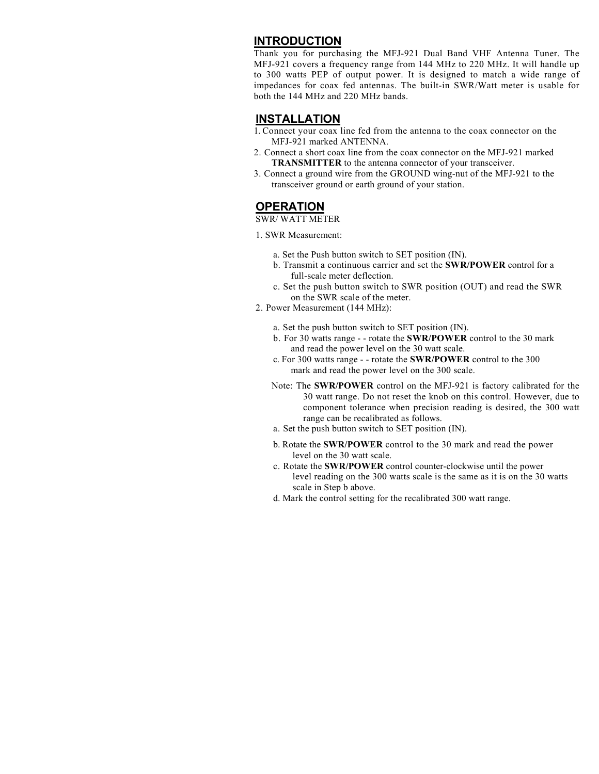## **INTRODUCTION**

Thank you for purchasing the MFJ-921 Dual Band VHF Antenna Tuner. The MFJ-921 covers a frequency range from 144 MHz to 220 MHz. It will handle up to 300 watts PEP of output power. It is designed to match a wide range of impedances for coax fed antennas. The built-in SWR/Watt meter is usable for both the 144 MHz and 220 MHz bands.

## **INSTALLATION**

- 1. Connect your coax line fed from the antenna to the coax connector on the MFJ-921 marked ANTENNA.
- 2. Connect a short coax line from the coax connector on the MFJ-921 marked **TRANSMITTER** to the antenna connector of your transceiver.
- 3. Connect a ground wire from the GROUND wing-nut of the MFJ-921 to the transceiver ground or earth ground of your station.

## **OPERATION**

SWR/ WATT METER

- 1. SWR Measurement:
	- a. Set the Push button switch to SET position (IN).
	- b. Transmit a continuous carrier and set the **SWR/POWER** control for a full-scale meter deflection.
	- c. Set the push button switch to SWR position (OUT) and read the SWR on the SWR scale of the meter.
- 2. Power Measurement (144 MHz):
	- a. Set the push button switch to SET position (IN).
	- b. For 30 watts range - rotate the **SWR/POWER** control to the 30 mark and read the power level on the 30 watt scale.
	- c. For 300 watts range - rotate the **SWR/POWER** control to the 300 mark and read the power level on the 300 scale.
	- Note: The **SWR/POWER** control on the MFJ-921 is factory calibrated for the 30 watt range. Do not reset the knob on this control. However, due to component tolerance when precision reading is desired, the 300 watt range can be recalibrated as follows.
	- a. Set the push button switch to SET position (IN).
	- b. Rotate the **SWR/POWER** control to the 30 mark and read the power level on the 30 watt scale.
	- c. Rotate the **SWR/POWER** control counter-clockwise until the power level reading on the 300 watts scale is the same as it is on the 30 watts scale in Step b above.
	- d. Mark the control setting for the recalibrated 300 watt range.